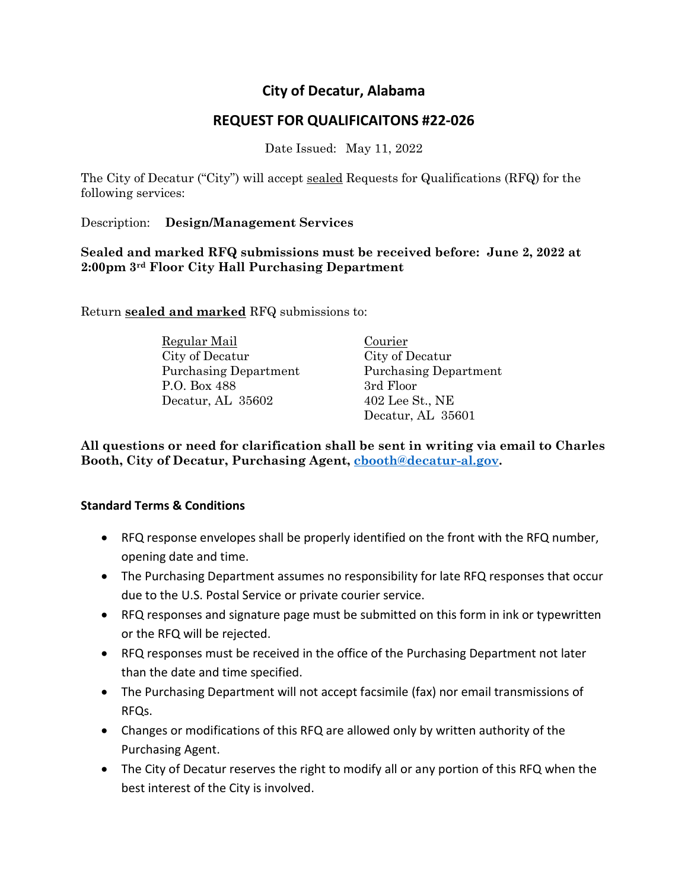# **City of Decatur, Alabama**

# **REQUEST FOR QUALIFICAITONS #22-026**

Date Issued: May 11, 2022

The City of Decatur ("City") will accept sealed Requests for Qualifications (RFQ) for the following services:

Description: **Design/Management Services**

**Sealed and marked RFQ submissions must be received before: June 2, 2022 at 2:00pm 3rd Floor City Hall Purchasing Department**

Return **sealed and marked** RFQ submissions to:

Regular Mail Courier City of Decatur City of Decatur Purchasing Department Purchasing Department P.O. Box 488 3rd Floor Decatur, AL 35602 402 Lee St., NE

Decatur, AL 35601

**All questions or need for clarification shall be sent in writing via email to Charles Booth, City of Decatur, Purchasing Agent, [cbooth@decatur-al.gov.](mailto:cbooth@decatur-al.gov)**

# **Standard Terms & Conditions**

- RFQ response envelopes shall be properly identified on the front with the RFQ number, opening date and time.
- The Purchasing Department assumes no responsibility for late RFQ responses that occur due to the U.S. Postal Service or private courier service.
- RFQ responses and signature page must be submitted on this form in ink or typewritten or the RFQ will be rejected.
- RFQ responses must be received in the office of the Purchasing Department not later than the date and time specified.
- The Purchasing Department will not accept facsimile (fax) nor email transmissions of RFQs.
- Changes or modifications of this RFQ are allowed only by written authority of the Purchasing Agent.
- The City of Decatur reserves the right to modify all or any portion of this RFQ when the best interest of the City is involved.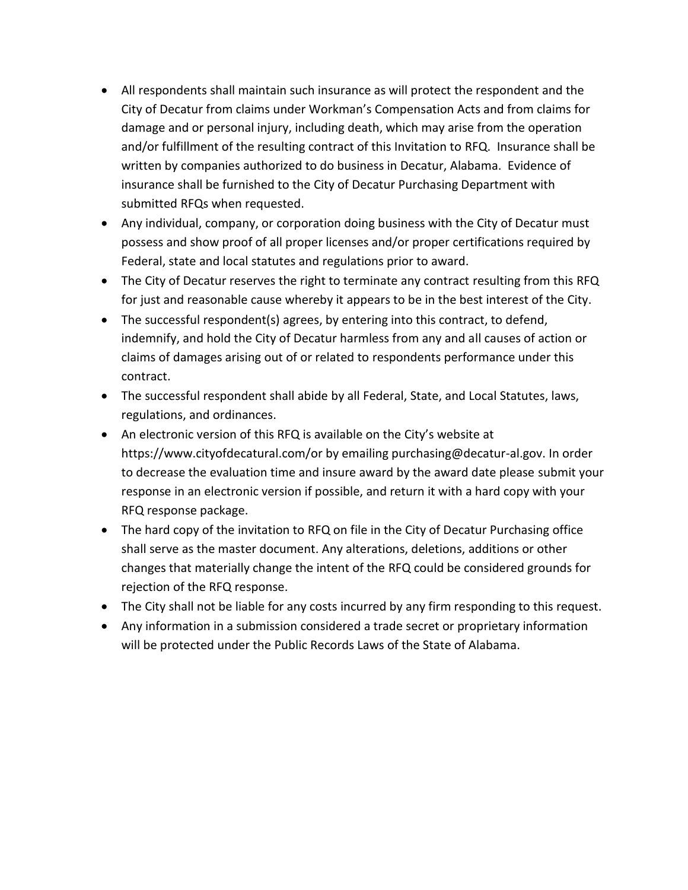- All respondents shall maintain such insurance as will protect the respondent and the City of Decatur from claims under Workman's Compensation Acts and from claims for damage and or personal injury, including death, which may arise from the operation and/or fulfillment of the resulting contract of this Invitation to RFQ. Insurance shall be written by companies authorized to do business in Decatur, Alabama. Evidence of insurance shall be furnished to the City of Decatur Purchasing Department with submitted RFQs when requested.
- Any individual, company, or corporation doing business with the City of Decatur must possess and show proof of all proper licenses and/or proper certifications required by Federal, state and local statutes and regulations prior to award.
- The City of Decatur reserves the right to terminate any contract resulting from this RFQ for just and reasonable cause whereby it appears to be in the best interest of the City.
- The successful respondent(s) agrees, by entering into this contract, to defend, indemnify, and hold the City of Decatur harmless from any and all causes of action or claims of damages arising out of or related to respondents performance under this contract.
- The successful respondent shall abide by all Federal, State, and Local Statutes, laws, regulations, and ordinances.
- An electronic version of this RFQ is available on the City's website at https://www.cityofdecatural.com/or by emailing purchasing@decatur-al.gov. In order to decrease the evaluation time and insure award by the award date please submit your response in an electronic version if possible, and return it with a hard copy with your RFQ response package.
- The hard copy of the invitation to RFQ on file in the City of Decatur Purchasing office shall serve as the master document. Any alterations, deletions, additions or other changes that materially change the intent of the RFQ could be considered grounds for rejection of the RFQ response.
- The City shall not be liable for any costs incurred by any firm responding to this request.
- Any information in a submission considered a trade secret or proprietary information will be protected under the Public Records Laws of the State of Alabama.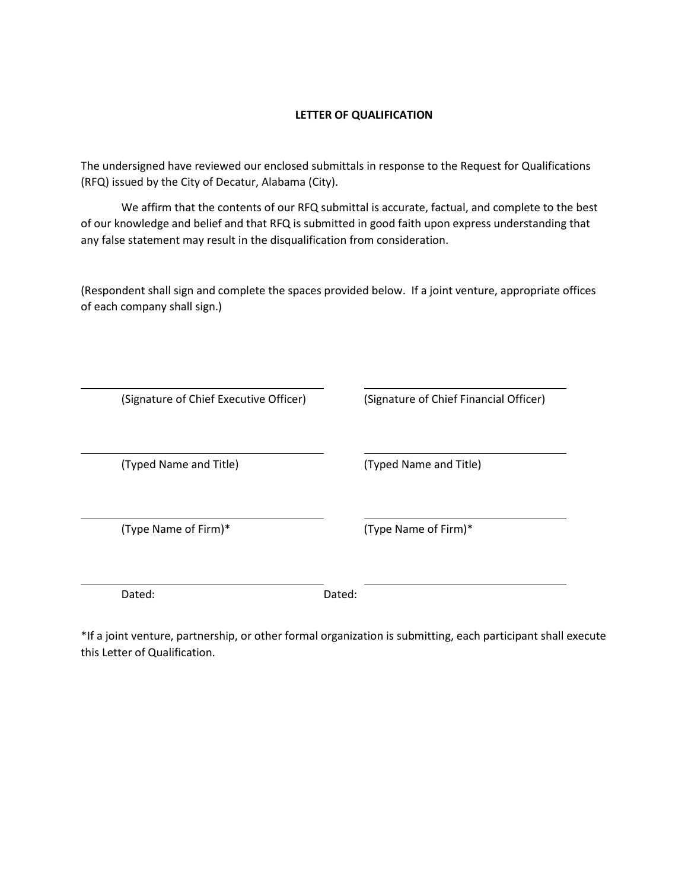### **LETTER OF QUALIFICATION**

The undersigned have reviewed our enclosed submittals in response to the Request for Qualifications (RFQ) issued by the City of Decatur, Alabama (City).

We affirm that the contents of our RFQ submittal is accurate, factual, and complete to the best of our knowledge and belief and that RFQ is submitted in good faith upon express understanding that any false statement may result in the disqualification from consideration.

(Respondent shall sign and complete the spaces provided below. If a joint venture, appropriate offices of each company shall sign.)

| (Signature of Chief Executive Officer) | (Signature of Chief Financial Officer) |
|----------------------------------------|----------------------------------------|
| (Typed Name and Title)                 | (Typed Name and Title)                 |
| (Type Name of Firm)*                   | (Type Name of Firm)*                   |
| Dated:                                 | Dated:                                 |

\*If a joint venture, partnership, or other formal organization is submitting, each participant shall execute this Letter of Qualification.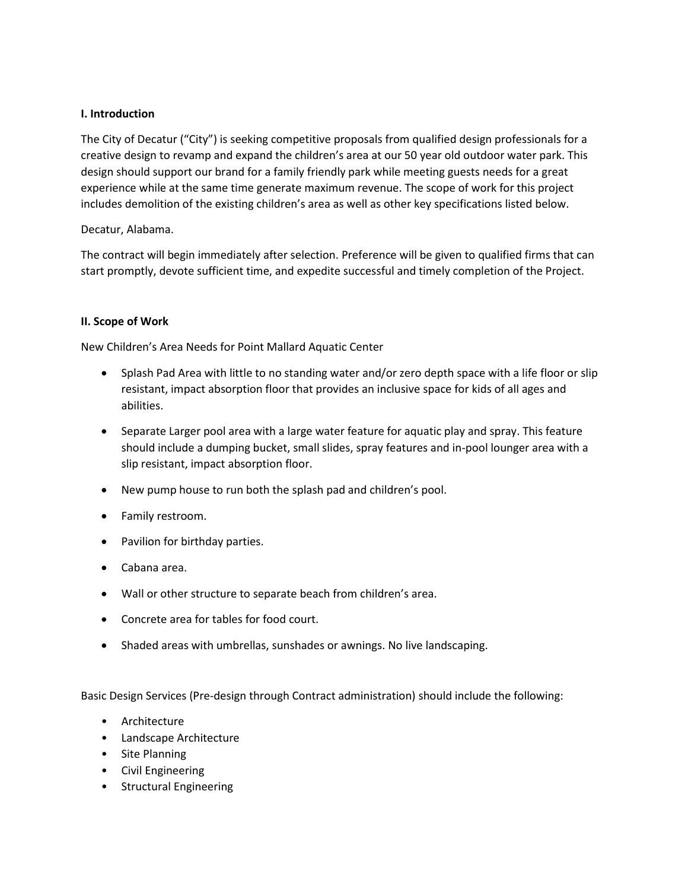### **I. Introduction**

The City of Decatur ("City") is seeking competitive proposals from qualified design professionals for a creative design to revamp and expand the children's area at our 50 year old outdoor water park. This design should support our brand for a family friendly park while meeting guests needs for a great experience while at the same time generate maximum revenue. The scope of work for this project includes demolition of the existing children's area as well as other key specifications listed below.

#### Decatur, Alabama.

The contract will begin immediately after selection. Preference will be given to qualified firms that can start promptly, devote sufficient time, and expedite successful and timely completion of the Project.

#### **II. Scope of Work**

New Children's Area Needs for Point Mallard Aquatic Center

- Splash Pad Area with little to no standing water and/or zero depth space with a life floor or slip resistant, impact absorption floor that provides an inclusive space for kids of all ages and abilities.
- Separate Larger pool area with a large water feature for aquatic play and spray. This feature should include a dumping bucket, small slides, spray features and in-pool lounger area with a slip resistant, impact absorption floor.
- New pump house to run both the splash pad and children's pool.
- Family restroom.
- Pavilion for birthday parties.
- Cabana area.
- Wall or other structure to separate beach from children's area.
- Concrete area for tables for food court.
- Shaded areas with umbrellas, sunshades or awnings. No live landscaping.

Basic Design Services (Pre-design through Contract administration) should include the following:

- Architecture
- Landscape Architecture
- Site Planning
- Civil Engineering
- Structural Engineering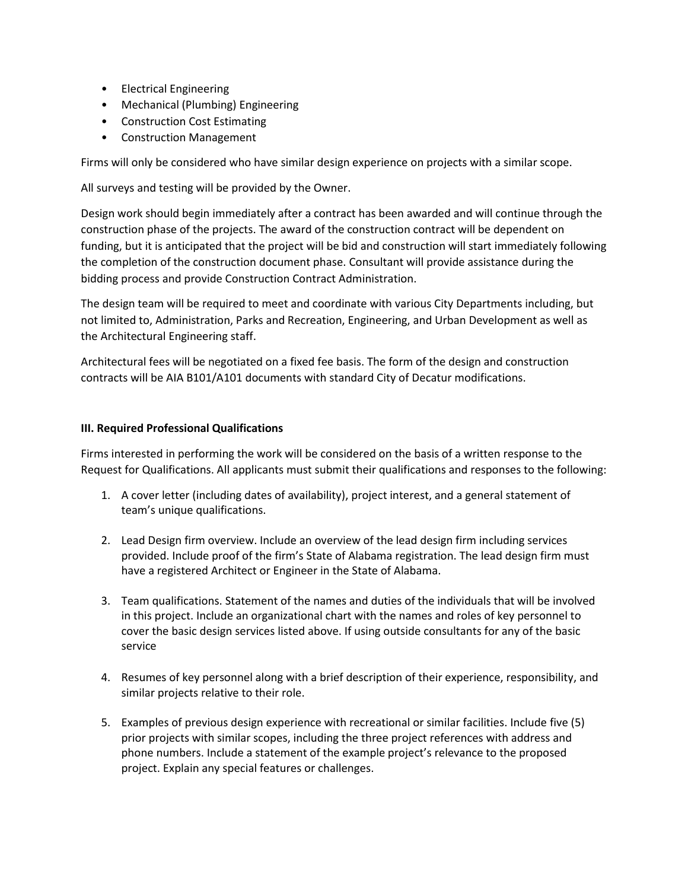- Electrical Engineering
- Mechanical (Plumbing) Engineering
- Construction Cost Estimating
- Construction Management

Firms will only be considered who have similar design experience on projects with a similar scope.

All surveys and testing will be provided by the Owner.

Design work should begin immediately after a contract has been awarded and will continue through the construction phase of the projects. The award of the construction contract will be dependent on funding, but it is anticipated that the project will be bid and construction will start immediately following the completion of the construction document phase. Consultant will provide assistance during the bidding process and provide Construction Contract Administration.

The design team will be required to meet and coordinate with various City Departments including, but not limited to, Administration, Parks and Recreation, Engineering, and Urban Development as well as the Architectural Engineering staff.

Architectural fees will be negotiated on a fixed fee basis. The form of the design and construction contracts will be AIA B101/A101 documents with standard City of Decatur modifications.

### **III. Required Professional Qualifications**

Firms interested in performing the work will be considered on the basis of a written response to the Request for Qualifications. All applicants must submit their qualifications and responses to the following:

- 1. A cover letter (including dates of availability), project interest, and a general statement of team's unique qualifications.
- 2. Lead Design firm overview. Include an overview of the lead design firm including services provided. Include proof of the firm's State of Alabama registration. The lead design firm must have a registered Architect or Engineer in the State of Alabama.
- 3. Team qualifications. Statement of the names and duties of the individuals that will be involved in this project. Include an organizational chart with the names and roles of key personnel to cover the basic design services listed above. If using outside consultants for any of the basic service
- 4. Resumes of key personnel along with a brief description of their experience, responsibility, and similar projects relative to their role.
- 5. Examples of previous design experience with recreational or similar facilities. Include five (5) prior projects with similar scopes, including the three project references with address and phone numbers. Include a statement of the example project's relevance to the proposed project. Explain any special features or challenges.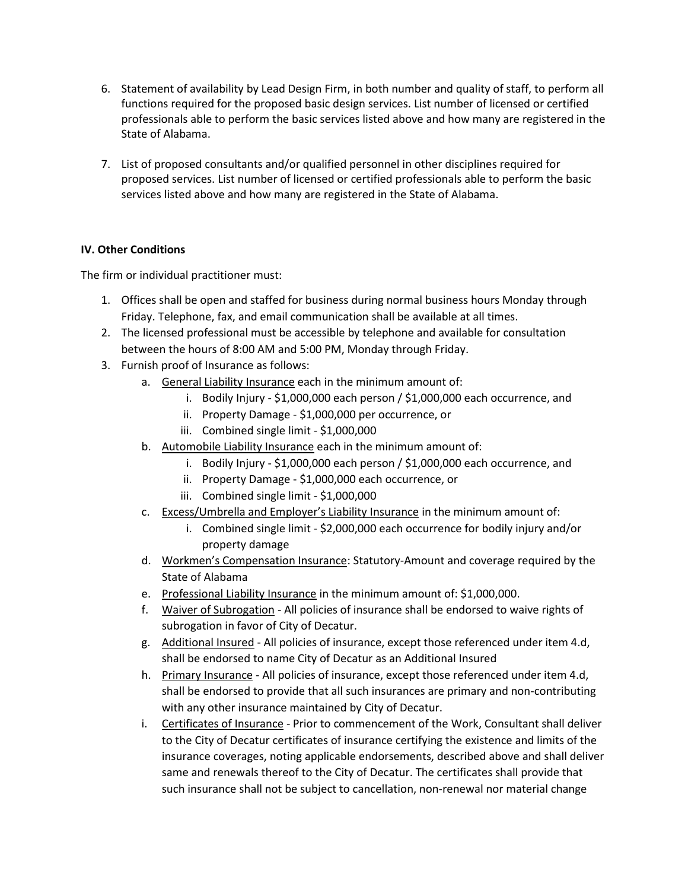- 6. Statement of availability by Lead Design Firm, in both number and quality of staff, to perform all functions required for the proposed basic design services. List number of licensed or certified professionals able to perform the basic services listed above and how many are registered in the State of Alabama.
- 7. List of proposed consultants and/or qualified personnel in other disciplines required for proposed services. List number of licensed or certified professionals able to perform the basic services listed above and how many are registered in the State of Alabama.

# **IV. Other Conditions**

The firm or individual practitioner must:

- 1. Offices shall be open and staffed for business during normal business hours Monday through Friday. Telephone, fax, and email communication shall be available at all times.
- 2. The licensed professional must be accessible by telephone and available for consultation between the hours of 8:00 AM and 5:00 PM, Monday through Friday.
- 3. Furnish proof of Insurance as follows:
	- a. General Liability Insurance each in the minimum amount of:
		- i. Bodily Injury \$1,000,000 each person / \$1,000,000 each occurrence, and
		- ii. Property Damage \$1,000,000 per occurrence, or
		- iii. Combined single limit \$1,000,000
	- b. Automobile Liability Insurance each in the minimum amount of:
		- i. Bodily Injury \$1,000,000 each person / \$1,000,000 each occurrence, and
		- ii. Property Damage \$1,000,000 each occurrence, or
		- iii. Combined single limit \$1,000,000
	- c. Excess/Umbrella and Employer's Liability Insurance in the minimum amount of:
		- i. Combined single limit \$2,000,000 each occurrence for bodily injury and/or property damage
	- d. Workmen's Compensation Insurance: Statutory-Amount and coverage required by the State of Alabama
	- e. Professional Liability Insurance in the minimum amount of: \$1,000,000.
	- f. Waiver of Subrogation All policies of insurance shall be endorsed to waive rights of subrogation in favor of City of Decatur.
	- g. Additional Insured All policies of insurance, except those referenced under item 4.d, shall be endorsed to name City of Decatur as an Additional Insured
	- h. Primary Insurance All policies of insurance, except those referenced under item 4.d, shall be endorsed to provide that all such insurances are primary and non-contributing with any other insurance maintained by City of Decatur.
	- i. Certificates of Insurance Prior to commencement of the Work, Consultant shall deliver to the City of Decatur certificates of insurance certifying the existence and limits of the insurance coverages, noting applicable endorsements, described above and shall deliver same and renewals thereof to the City of Decatur. The certificates shall provide that such insurance shall not be subject to cancellation, non-renewal nor material change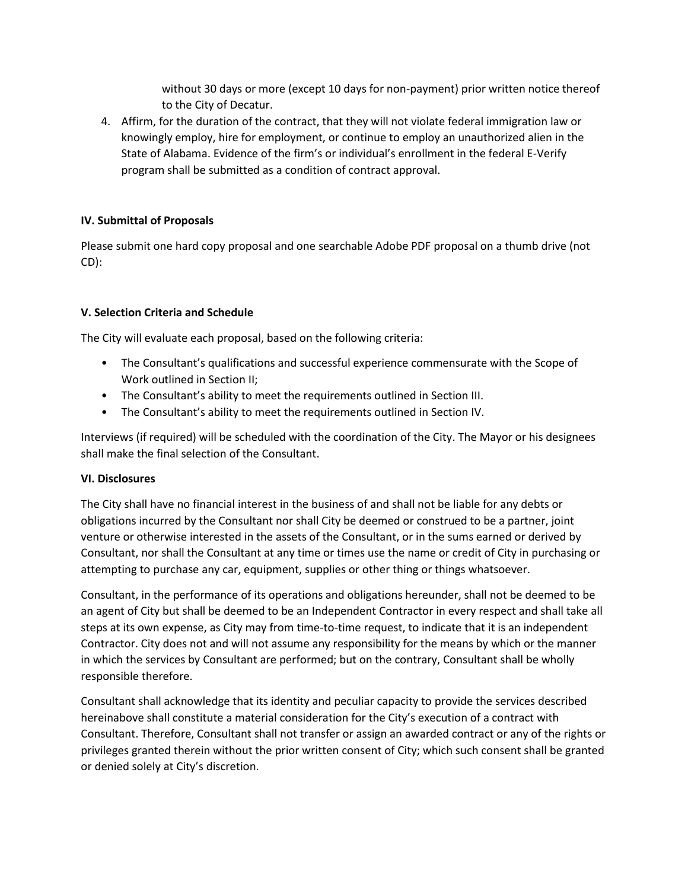without 30 days or more (except 10 days for non-payment) prior written notice thereof to the City of Decatur.

4. Affirm, for the duration of the contract, that they will not violate federal immigration law or knowingly employ, hire for employment, or continue to employ an unauthorized alien in the State of Alabama. Evidence of the firm's or individual's enrollment in the federal E-Verify program shall be submitted as a condition of contract approval.

## **IV. Submittal of Proposals**

Please submit one hard copy proposal and one searchable Adobe PDF proposal on a thumb drive (not CD):

## **V. Selection Criteria and Schedule**

The City will evaluate each proposal, based on the following criteria:

- The Consultant's qualifications and successful experience commensurate with the Scope of Work outlined in Section II;
- The Consultant's ability to meet the requirements outlined in Section III.
- The Consultant's ability to meet the requirements outlined in Section IV.

Interviews (if required) will be scheduled with the coordination of the City. The Mayor or his designees shall make the final selection of the Consultant.

### **VI. Disclosures**

The City shall have no financial interest in the business of and shall not be liable for any debts or obligations incurred by the Consultant nor shall City be deemed or construed to be a partner, joint venture or otherwise interested in the assets of the Consultant, or in the sums earned or derived by Consultant, nor shall the Consultant at any time or times use the name or credit of City in purchasing or attempting to purchase any car, equipment, supplies or other thing or things whatsoever.

Consultant, in the performance of its operations and obligations hereunder, shall not be deemed to be an agent of City but shall be deemed to be an Independent Contractor in every respect and shall take all steps at its own expense, as City may from time-to-time request, to indicate that it is an independent Contractor. City does not and will not assume any responsibility for the means by which or the manner in which the services by Consultant are performed; but on the contrary, Consultant shall be wholly responsible therefore.

Consultant shall acknowledge that its identity and peculiar capacity to provide the services described hereinabove shall constitute a material consideration for the City's execution of a contract with Consultant. Therefore, Consultant shall not transfer or assign an awarded contract or any of the rights or privileges granted therein without the prior written consent of City; which such consent shall be granted or denied solely at City's discretion.